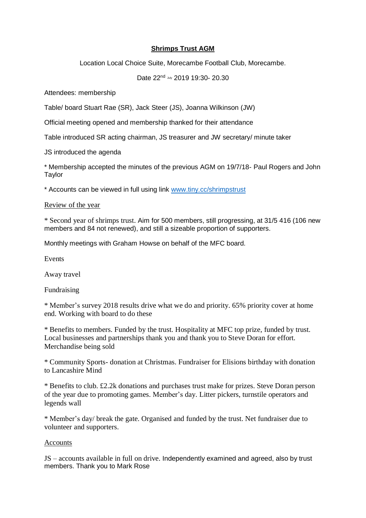# **Shrimps Trust AGM**

Location Local Choice Suite, Morecambe Football Club, Morecambe.

Date 22<sup>nd</sup> July 2019 19:30- 20.30

Attendees: membership

Table/ board Stuart Rae (SR), Jack Steer (JS), Joanna Wilkinson (JW)

Official meeting opened and membership thanked for their attendance

Table introduced SR acting chairman, JS treasurer and JW secretary/ minute taker

JS introduced the agenda

\* Membership accepted the minutes of the previous AGM on 19/7/18- Paul Rogers and John Taylor

\* Accounts can be viewed in full using link [www.tiny.cc/shrimpstrust](http://www.tiny.cc/shrimpstrust)

# Review of the year

\* Second year of shrimps trust. Aim for 500 members, still progressing, at 31/5 416 (106 new members and 84 not renewed), and still a sizeable proportion of supporters.

Monthly meetings with Graham Howse on behalf of the MFC board.

Events

Away travel

Fundraising

\* Member's survey 2018 results drive what we do and priority. 65% priority cover at home end. Working with board to do these

\* Benefits to members. Funded by the trust. Hospitality at MFC top prize, funded by trust. Local businesses and partnerships thank you and thank you to Steve Doran for effort. Merchandise being sold

\* Community Sports- donation at Christmas. Fundraiser for Elisions birthday with donation to Lancashire Mind

\* Benefits to club. £2.2k donations and purchases trust make for prizes. Steve Doran person of the year due to promoting games. Member's day. Litter pickers, turnstile operators and legends wall

\* Member's day/ break the gate. Organised and funded by the trust. Net fundraiser due to volunteer and supporters.

## Accounts

JS – accounts available in full on drive. Independently examined and agreed, also by trust members. Thank you to Mark Rose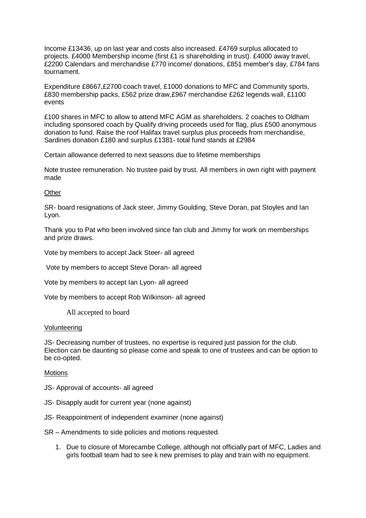Income £13436, up on last year and costs also increased. £4769 surplus allocated to projects. £4000 Membership income (first £1 is shareholding in trust). £4000 away travel, £2200 Calendars and merchandise £770 income/ donations, £851 member's day, £784 fans tournament.

Expenditure £8667,£2700 coach travel, £1000 donations to MFC and Community sports, £830 membership packs, £562 prize draw,£967 merchandise £262 legends wall, £1100 events

£100 shares in MFC to allow to attend MFC AGM as shareholders. 2 coaches to Oldham including sponsored coach by Qualify driving proceeds used for flag, plus £500 anonymous donation to fund. Raise the roof Halifax travel surplus plus proceeds from merchandise, Sardines donation £180 and surplus £1381- total fund stands at £2984

Certain allowance deferred to next seasons due to lifetime memberships

Note trustee remuneration. No trustee paid by trust. All members in own right with payment made

### **Other**

SR- board resignations of Jack steer, Jimmy Goulding, Steve Doran, pat Stoyles and Ian Lyon.

Thank you to Pat who been involved since fan club and Jimmy for work on memberships and prize draws.

Vote by members to accept Jack Steer- all agreed

Vote by members to accept Steve Doran- all agreed

Vote by members to accept Ian Lyon- all agreed

Vote by members to accept Rob Wilkinson- all agreed

All accepted to board

#### Volunteering

JS- Decreasing number of trustees, no expertise is required just passion for the club. Election can be daunting so please come and speak to one of trustees and can be option to be co-opted.

#### **Motions**

JS- Approval of accounts- all agreed

- JS- Disapply audit for current year (none against)
- JS- Reappointment of independent examiner (none against)

SR – Amendments to side policies and motions requested.

1. Due to closure of Morecambe College, although not officially part of MFC, Ladies and girls football team had to see k new premises to play and train with no equipment.